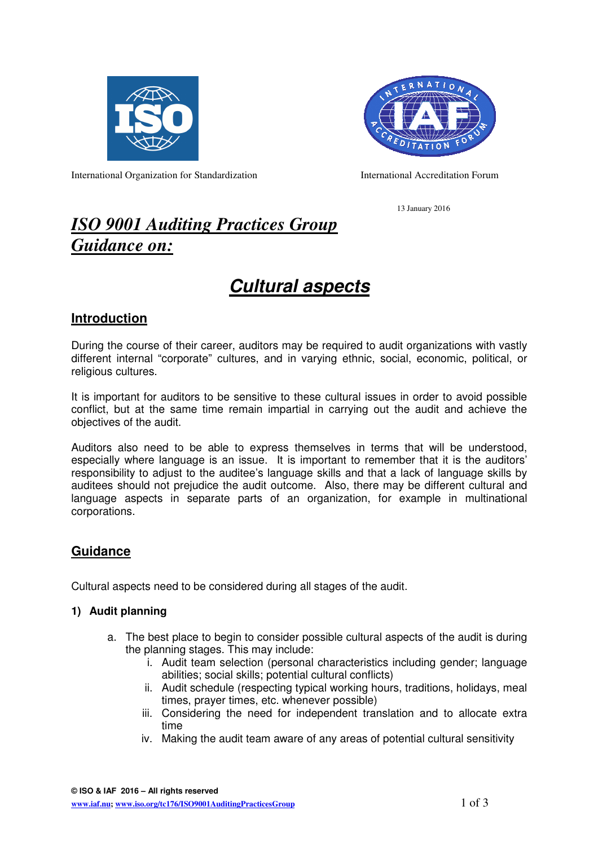



International Organization for Standardization International Accreditation Forum

13 January 2016

## *ISO 9001 Auditing Practices Group Guidance on:*

# **Cultural aspects**

## **Introduction**

During the course of their career, auditors may be required to audit organizations with vastly different internal "corporate" cultures, and in varying ethnic, social, economic, political, or religious cultures.

It is important for auditors to be sensitive to these cultural issues in order to avoid possible conflict, but at the same time remain impartial in carrying out the audit and achieve the objectives of the audit.

Auditors also need to be able to express themselves in terms that will be understood, especially where language is an issue. It is important to remember that it is the auditors' responsibility to adjust to the auditee's language skills and that a lack of language skills by auditees should not prejudice the audit outcome. Also, there may be different cultural and language aspects in separate parts of an organization, for example in multinational corporations.

## **Guidance**

Cultural aspects need to be considered during all stages of the audit.

#### **1) Audit planning**

- a. The best place to begin to consider possible cultural aspects of the audit is during the planning stages. This may include:
	- i. Audit team selection (personal characteristics including gender; language abilities; social skills; potential cultural conflicts)
	- ii. Audit schedule (respecting typical working hours, traditions, holidays, meal times, prayer times, etc. whenever possible)
	- iii. Considering the need for independent translation and to allocate extra time
	- iv. Making the audit team aware of any areas of potential cultural sensitivity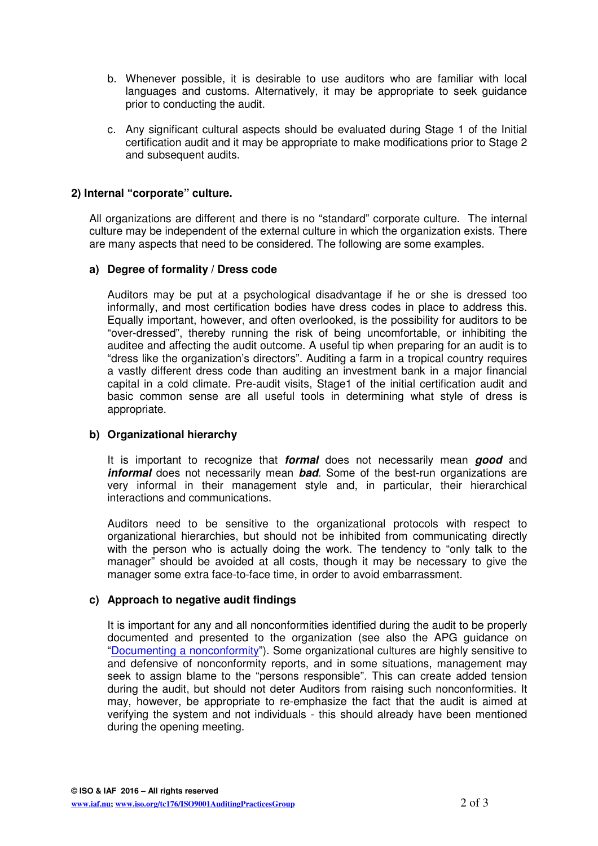- b. Whenever possible, it is desirable to use auditors who are familiar with local languages and customs. Alternatively, it may be appropriate to seek guidance prior to conducting the audit.
- c. Any significant cultural aspects should be evaluated during Stage 1 of the Initial certification audit and it may be appropriate to make modifications prior to Stage 2 and subsequent audits.

#### **2) Internal "corporate" culture.**

All organizations are different and there is no "standard" corporate culture. The internal culture may be independent of the external culture in which the organization exists. There are many aspects that need to be considered. The following are some examples.

#### **a) Degree of formality / Dress code**

Auditors may be put at a psychological disadvantage if he or she is dressed too informally, and most certification bodies have dress codes in place to address this. Equally important, however, and often overlooked, is the possibility for auditors to be "over-dressed", thereby running the risk of being uncomfortable, or inhibiting the auditee and affecting the audit outcome. A useful tip when preparing for an audit is to "dress like the organization's directors". Auditing a farm in a tropical country requires a vastly different dress code than auditing an investment bank in a major financial capital in a cold climate. Pre-audit visits, Stage1 of the initial certification audit and basic common sense are all useful tools in determining what style of dress is appropriate.

#### **b) Organizational hierarchy**

It is important to recognize that **formal** does not necessarily mean **good** and **informal** does not necessarily mean **bad**. Some of the best-run organizations are very informal in their management style and, in particular, their hierarchical interactions and communications.

Auditors need to be sensitive to the organizational protocols with respect to organizational hierarchies, but should not be inhibited from communicating directly with the person who is actually doing the work. The tendency to "only talk to the manager" should be avoided at all costs, though it may be necessary to give the manager some extra face-to-face time, in order to avoid embarrassment.

#### **c) Approach to negative audit findings**

It is important for any and all nonconformities identified during the audit to be properly documented and presented to the organization (see also the APG guidance on "Documenting a nonconformity"). Some organizational cultures are highly sensitive to and defensive of nonconformity reports, and in some situations, management may seek to assign blame to the "persons responsible". This can create added tension during the audit, but should not deter Auditors from raising such nonconformities. It may, however, be appropriate to re-emphasize the fact that the audit is aimed at verifying the system and not individuals - this should already have been mentioned during the opening meeting.